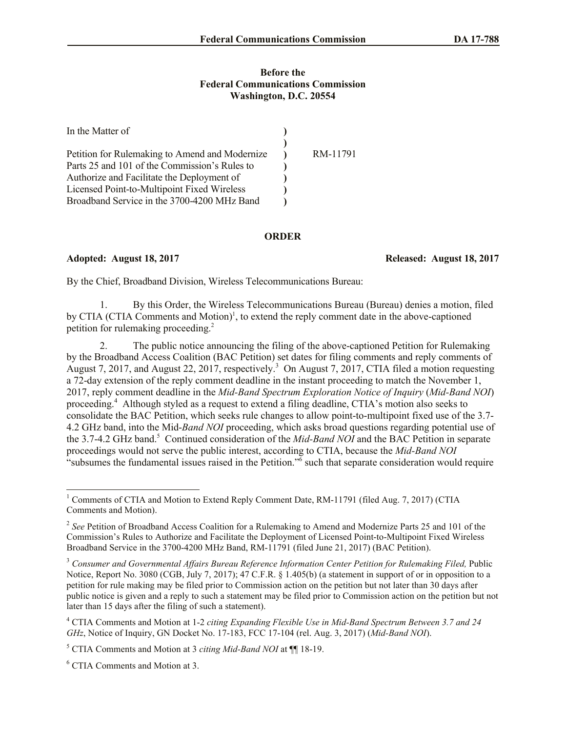## **Before the Federal Communications Commission Washington, D.C. 20554**

| In the Matter of                               |          |
|------------------------------------------------|----------|
|                                                |          |
| Petition for Rulemaking to Amend and Modernize | RM-11791 |
| Parts 25 and 101 of the Commission's Rules to  |          |
| Authorize and Facilitate the Deployment of     |          |
| Licensed Point-to-Multipoint Fixed Wireless    |          |
| Broadband Service in the 3700-4200 MHz Band    |          |

## **ORDER**

## **Adopted: August 18, 2017 Released: August 18, 2017**

By the Chief, Broadband Division, Wireless Telecommunications Bureau:

1. By this Order, the Wireless Telecommunications Bureau (Bureau) denies a motion, filed by CTIA (CTIA Comments and Motion)<sup>1</sup>, to extend the reply comment date in the above-captioned petition for rulemaking proceeding. 2

2. The public notice announcing the filing of the above-captioned Petition for Rulemaking by the Broadband Access Coalition (BAC Petition) set dates for filing comments and reply comments of August 7, 2017, and August 22, 2017, respectively.<sup>3</sup> On August 7, 2017, CTIA filed a motion requesting a 72-day extension of the reply comment deadline in the instant proceeding to match the November 1, 2017, reply comment deadline in the *Mid-Band Spectrum Exploration Notice of Inquiry* (*Mid-Band NOI*) proceeding.<sup>4</sup> Although styled as a request to extend a filing deadline, CTIA's motion also seeks to consolidate the BAC Petition, which seeks rule changes to allow point-to-multipoint fixed use of the 3.7- 4.2 GHz band, into the Mid-*Band NOI* proceeding, which asks broad questions regarding potential use of the 3.7-4.2 GHz band. <sup>5</sup> Continued consideration of the *Mid-Band NOI* and the BAC Petition in separate proceedings would not serve the public interest, according to CTIA, because the *Mid-Band NOI* "subsumes the fundamental issues raised in the Petition."<sup>6</sup> such that separate consideration would require

<sup>6</sup> CTIA Comments and Motion at 3.

l

<sup>&</sup>lt;sup>1</sup> Comments of CTIA and Motion to Extend Reply Comment Date, RM-11791 (filed Aug. 7, 2017) (CTIA Comments and Motion).

<sup>&</sup>lt;sup>2</sup> See Petition of Broadband Access Coalition for a Rulemaking to Amend and Modernize Parts 25 and 101 of the Commission's Rules to Authorize and Facilitate the Deployment of Licensed Point-to-Multipoint Fixed Wireless Broadband Service in the 3700-4200 MHz Band, RM-11791 (filed June 21, 2017) (BAC Petition).

<sup>3</sup> *Consumer and Governmental Affairs Bureau Reference Information Center Petition for Rulemaking Filed,* Public Notice, Report No. 3080 (CGB, July 7, 2017); 47 C.F.R. § 1.405(b) (a statement in support of or in opposition to a petition for rule making may be filed prior to Commission action on the petition but not later than 30 days after public notice is given and a reply to such a statement may be filed prior to Commission action on the petition but not later than 15 days after the filing of such a statement).

<sup>4</sup> CTIA Comments and Motion at 1-2 *citing Expanding Flexible Use in Mid-Band Spectrum Between 3.7 and 24 GHz*, Notice of Inquiry, GN Docket No. 17-183, FCC 17-104 (rel. Aug. 3, 2017) (*Mid-Band NOI*).

<sup>5</sup> CTIA Comments and Motion at 3 *citing Mid-Band NOI* at ¶¶ 18-19.